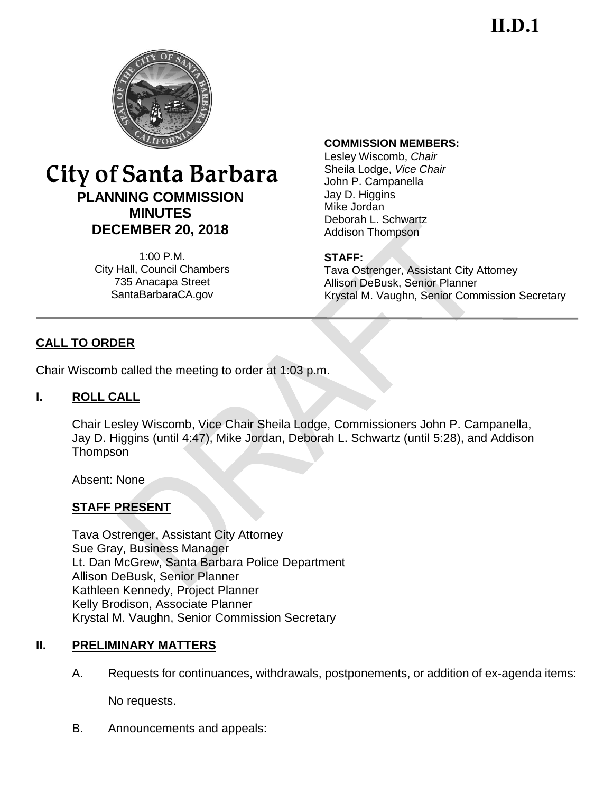**II.D.1**



# City of Santa Barbara **PLANNING COMMISSION MINUTES DECEMBER 20, 2018**

1:00 P.M. City Hall, Council Chambers 735 Anacapa Street SantaBarbaraCA.gov

#### **COMMISSION MEMBERS:**

Lesley Wiscomb, *Chair* Sheila Lodge, *Vice Chair*  John P. Campanella Jay D. Higgins Mike Jordan Deborah L. Schwartz Addison Thompson

#### **STAFF:**

Tava Ostrenger, Assistant City Attorney Allison DeBusk, Senior Planner Krystal M. Vaughn, Senior Commission Secretary

# **CALL TO ORDER**

Chair Wiscomb called the meeting to order at 1:03 p.m.

#### **I. ROLL CALL**

Chair Lesley Wiscomb, Vice Chair Sheila Lodge, Commissioners John P. Campanella, Jay D. Higgins (until 4:47), Mike Jordan, Deborah L. Schwartz (until 5:28), and Addison **Thompson** 

Absent: None

# **STAFF PRESENT**

Tava Ostrenger, Assistant City Attorney Sue Gray, Business Manager Lt. Dan McGrew, Santa Barbara Police Department Allison DeBusk, Senior Planner Kathleen Kennedy, Project Planner Kelly Brodison, Associate Planner Krystal M. Vaughn, Senior Commission Secretary

### **II. PRELIMINARY MATTERS**

A. Requests for continuances, withdrawals, postponements, or addition of ex-agenda items:

No requests.

B. Announcements and appeals: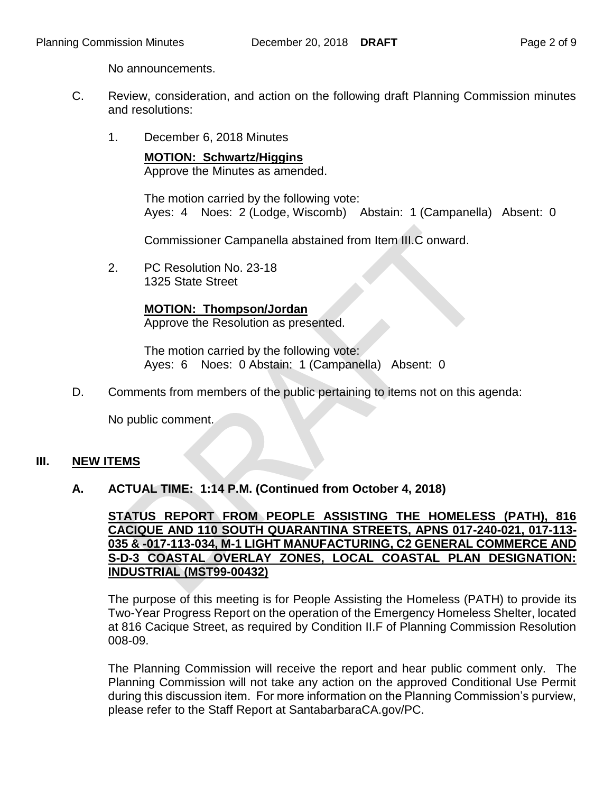No announcements.

- C. Review, consideration, and action on the following draft Planning Commission minutes and resolutions:
	- 1. December 6, 2018 Minutes

**MOTION: Schwartz/Higgins** Approve the Minutes as amended.

The motion carried by the following vote: Ayes: 4 Noes: 2 (Lodge, Wiscomb) Abstain: 1 (Campanella) Absent: 0

Commissioner Campanella abstained from Item III.C onward.

2. PC Resolution No. 23-18 1325 State Street

**MOTION: Thompson/Jordan**

Approve the Resolution as presented.

The motion carried by the following vote: Ayes: 6 Noes: 0 Abstain: 1 (Campanella) Absent: 0

D. Comments from members of the public pertaining to items not on this agenda:

No public comment.

#### **III. NEW ITEMS**

#### **A. ACTUAL TIME: 1:14 P.M. (Continued from October 4, 2018)**

**STATUS REPORT FROM PEOPLE ASSISTING THE HOMELESS (PATH), 816 CACIQUE AND 110 SOUTH QUARANTINA STREETS, APNS 017-240-021, 017-113- 035 & -017-113-034, M-1 LIGHT MANUFACTURING, C2 GENERAL COMMERCE AND S-D-3 COASTAL OVERLAY ZONES, LOCAL COASTAL PLAN DESIGNATION: INDUSTRIAL (MST99-00432)**

The purpose of this meeting is for People Assisting the Homeless (PATH) to provide its Two-Year Progress Report on the operation of the Emergency Homeless Shelter, located at 816 Cacique Street, as required by Condition II.F of Planning Commission Resolution 008-09.

The Planning Commission will receive the report and hear public comment only. The Planning Commission will not take any action on the approved Conditional Use Permit during this discussion item. For more information on the Planning Commission's purview, please refer to the Staff Report at SantabarbaraCA.gov/PC.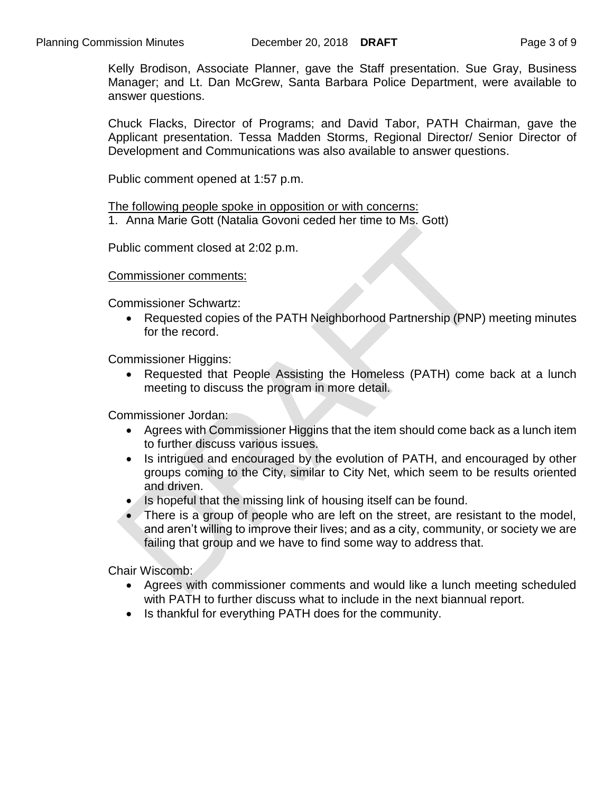Kelly Brodison, Associate Planner, gave the Staff presentation. Sue Gray, Business Manager; and Lt. Dan McGrew, Santa Barbara Police Department, were available to answer questions.

Chuck Flacks, Director of Programs; and David Tabor, PATH Chairman, gave the Applicant presentation. Tessa Madden Storms, Regional Director/ Senior Director of Development and Communications was also available to answer questions.

Public comment opened at 1:57 p.m.

The following people spoke in opposition or with concerns:

1. Anna Marie Gott (Natalia Govoni ceded her time to Ms. Gott)

Public comment closed at 2:02 p.m.

Commissioner comments:

Commissioner Schwartz:

 Requested copies of the PATH Neighborhood Partnership (PNP) meeting minutes for the record.

Commissioner Higgins:

 Requested that People Assisting the Homeless (PATH) come back at a lunch meeting to discuss the program in more detail.

Commissioner Jordan:

- Agrees with Commissioner Higgins that the item should come back as a lunch item to further discuss various issues.
- Is intrigued and encouraged by the evolution of PATH, and encouraged by other groups coming to the City, similar to City Net, which seem to be results oriented and driven.
- $\bullet$  Is hopeful that the missing link of housing itself can be found.
- There is a group of people who are left on the street, are resistant to the model, and aren't willing to improve their lives; and as a city, community, or society we are failing that group and we have to find some way to address that.

Chair Wiscomb:

- Agrees with commissioner comments and would like a lunch meeting scheduled with PATH to further discuss what to include in the next biannual report.
- Is thankful for everything PATH does for the community.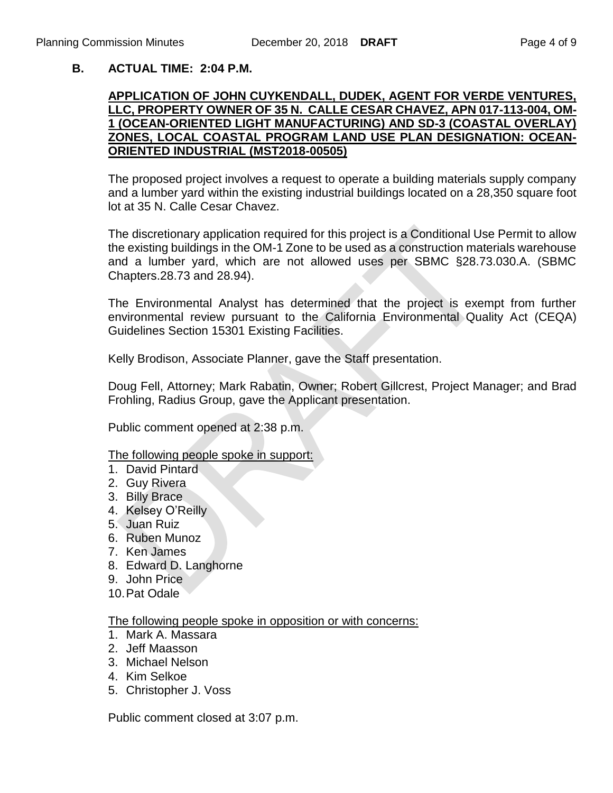### **B. ACTUAL TIME: 2:04 P.M.**

#### **APPLICATION OF JOHN CUYKENDALL, DUDEK, AGENT FOR VERDE VENTURES, LLC, PROPERTY OWNER OF 35 N. CALLE CESAR CHAVEZ, APN 017-113-004, OM-1 (OCEAN-ORIENTED LIGHT MANUFACTURING) AND SD-3 (COASTAL OVERLAY) ZONES, LOCAL COASTAL PROGRAM LAND USE PLAN DESIGNATION: OCEAN-ORIENTED INDUSTRIAL (MST2018-00505)**

The proposed project involves a request to operate a building materials supply company and a lumber yard within the existing industrial buildings located on a 28,350 square foot lot at 35 N. Calle Cesar Chavez.

The discretionary application required for this project is a Conditional Use Permit to allow the existing buildings in the OM-1 Zone to be used as a construction materials warehouse and a lumber yard, which are not allowed uses per SBMC §28.73.030.A. (SBMC Chapters.28.73 and 28.94).

The Environmental Analyst has determined that the project is exempt from further environmental review pursuant to the California Environmental Quality Act (CEQA) Guidelines Section 15301 Existing Facilities.

Kelly Brodison, Associate Planner, gave the Staff presentation.

Doug Fell, Attorney; Mark Rabatin, Owner; Robert Gillcrest, Project Manager; and Brad Frohling, Radius Group, gave the Applicant presentation.

Public comment opened at 2:38 p.m.

The following people spoke in support:

- 1. David Pintard
- 2. Guy Rivera
- 3. Billy Brace
- 4. Kelsey O'Reilly
- 5. Juan Ruiz
- 6. Ruben Munoz
- 7. Ken James
- 8. Edward D. Langhorne
- 9. John Price
- 10.Pat Odale

The following people spoke in opposition or with concerns:

- 1. Mark A. Massara
- 2. Jeff Maasson
- 3. Michael Nelson
- 4. Kim Selkoe
- 5. Christopher J. Voss

Public comment closed at 3:07 p.m.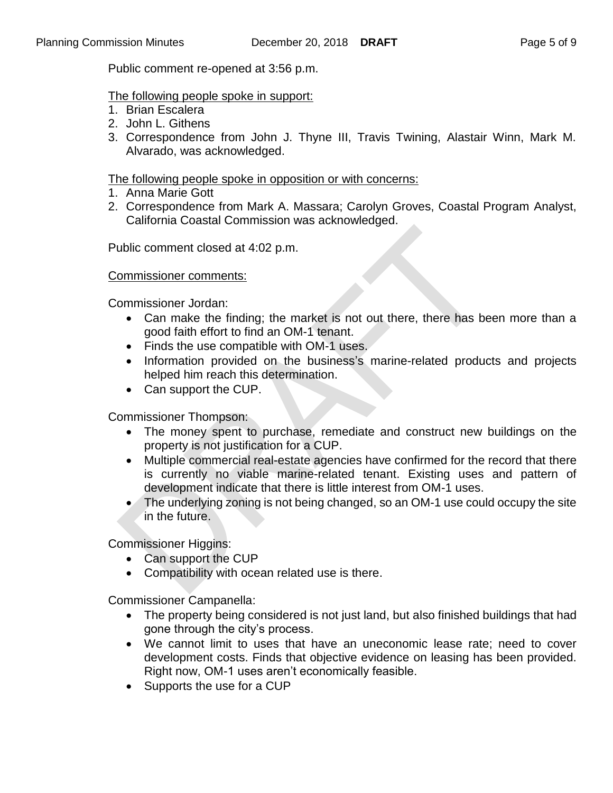Public comment re-opened at 3:56 p.m.

#### The following people spoke in support:

- 1. Brian Escalera
- 2. John L. Githens
- 3. Correspondence from John J. Thyne III, Travis Twining, Alastair Winn, Mark M. Alvarado, was acknowledged.

#### The following people spoke in opposition or with concerns:

- 1. Anna Marie Gott
- 2. Correspondence from Mark A. Massara; Carolyn Groves, Coastal Program Analyst, California Coastal Commission was acknowledged.

Public comment closed at 4:02 p.m.

#### Commissioner comments:

Commissioner Jordan:

- Can make the finding; the market is not out there, there has been more than a good faith effort to find an OM-1 tenant.
- Finds the use compatible with OM-1 uses.
- Information provided on the business's marine-related products and projects helped him reach this determination.
- Can support the CUP.

Commissioner Thompson:

- The money spent to purchase, remediate and construct new buildings on the property is not justification for a CUP.
- Multiple commercial real-estate agencies have confirmed for the record that there is currently no viable marine-related tenant. Existing uses and pattern of development indicate that there is little interest from OM-1 uses.
- The underlying zoning is not being changed, so an OM-1 use could occupy the site in the future.

Commissioner Higgins:

- Can support the CUP
- Compatibility with ocean related use is there.

Commissioner Campanella:

- The property being considered is not just land, but also finished buildings that had gone through the city's process.
- We cannot limit to uses that have an uneconomic lease rate; need to cover development costs. Finds that objective evidence on leasing has been provided. Right now, OM-1 uses aren't economically feasible.
- Supports the use for a CUP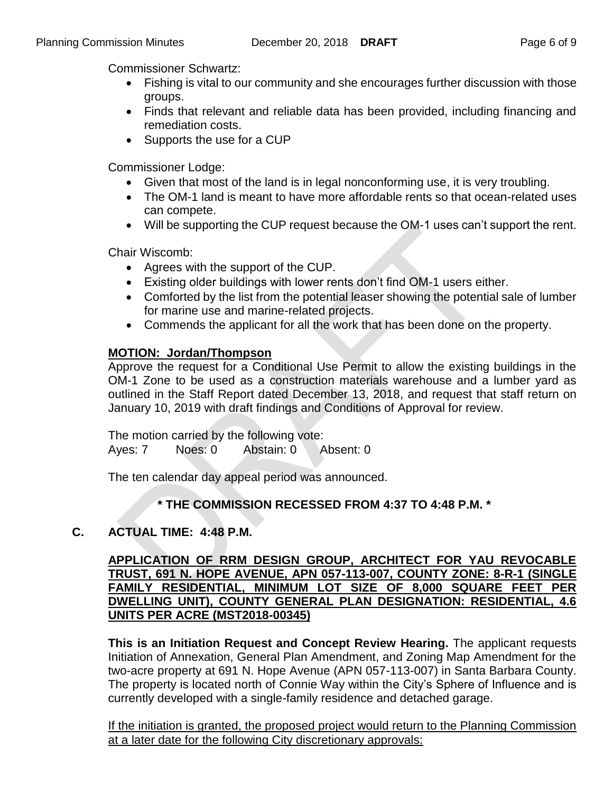Commissioner Schwartz:

- Fishing is vital to our community and she encourages further discussion with those groups.
- Finds that relevant and reliable data has been provided, including financing and remediation costs.
- Supports the use for a CUP

Commissioner Lodge:

- Given that most of the land is in legal nonconforming use, it is very troubling.
- The OM-1 land is meant to have more affordable rents so that ocean-related uses can compete.
- Will be supporting the CUP request because the OM-1 uses can't support the rent.

Chair Wiscomb:

- Agrees with the support of the CUP.
- Existing older buildings with lower rents don't find OM-1 users either.
- Comforted by the list from the potential leaser showing the potential sale of lumber for marine use and marine-related projects.
- Commends the applicant for all the work that has been done on the property.

### **MOTION: Jordan/Thompson**

Approve the request for a Conditional Use Permit to allow the existing buildings in the OM-1 Zone to be used as a construction materials warehouse and a lumber yard as outlined in the Staff Report dated December 13, 2018, and request that staff return on January 10, 2019 with draft findings and Conditions of Approval for review.

The motion carried by the following vote: Ayes: 7 Noes: 0 Abstain: 0 Absent: 0

The ten calendar day appeal period was announced.

# **\* THE COMMISSION RECESSED FROM 4:37 TO 4:48 P.M. \***

# **C. ACTUAL TIME: 4:48 P.M.**

#### **APPLICATION OF RRM DESIGN GROUP, ARCHITECT FOR YAU REVOCABLE TRUST, 691 N. HOPE AVENUE, APN 057-113-007, COUNTY ZONE: 8-R-1 (SINGLE FAMILY RESIDENTIAL, MINIMUM LOT SIZE OF 8,000 SQUARE FEET PER DWELLING UNIT), COUNTY GENERAL PLAN DESIGNATION: RESIDENTIAL, 4.6 UNITS PER ACRE (MST2018-00345)**

**This is an Initiation Request and Concept Review Hearing.** The applicant requests Initiation of Annexation, General Plan Amendment, and Zoning Map Amendment for the two-acre property at 691 N. Hope Avenue (APN 057-113-007) in Santa Barbara County. The property is located north of Connie Way within the City's Sphere of Influence and is currently developed with a single-family residence and detached garage.

If the initiation is granted, the proposed project would return to the Planning Commission at a later date for the following City discretionary approvals: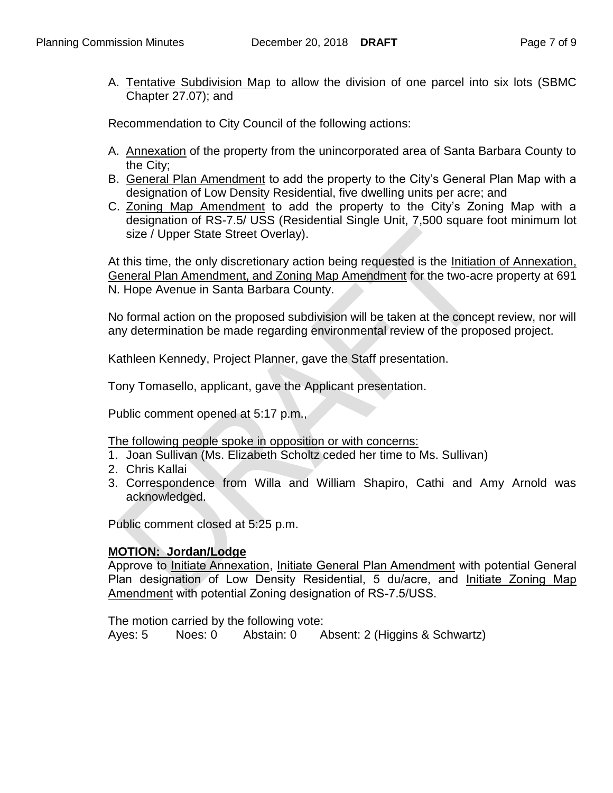A. Tentative Subdivision Map to allow the division of one parcel into six lots (SBMC Chapter 27.07); and

Recommendation to City Council of the following actions:

- A. Annexation of the property from the unincorporated area of Santa Barbara County to the City;
- B. General Plan Amendment to add the property to the City's General Plan Map with a designation of Low Density Residential, five dwelling units per acre; and
- C. Zoning Map Amendment to add the property to the City's Zoning Map with a designation of RS-7.5/ USS (Residential Single Unit, 7,500 square foot minimum lot size / Upper State Street Overlay).

At this time, the only discretionary action being requested is the *Initiation of Annexation*, General Plan Amendment, and Zoning Map Amendment for the two-acre property at 691 N. Hope Avenue in Santa Barbara County.

No formal action on the proposed subdivision will be taken at the concept review, nor will any determination be made regarding environmental review of the proposed project.

Kathleen Kennedy, Project Planner, gave the Staff presentation.

Tony Tomasello, applicant, gave the Applicant presentation.

Public comment opened at 5:17 p.m.,

The following people spoke in opposition or with concerns:

- 1. Joan Sullivan (Ms. Elizabeth Scholtz ceded her time to Ms. Sullivan)
- 2. Chris Kallai
- 3. Correspondence from Willa and William Shapiro, Cathi and Amy Arnold was acknowledged.

Public comment closed at 5:25 p.m.

#### **MOTION: Jordan/Lodge**

Approve to *Initiate Annexation, Initiate General Plan Amendment* with potential General Plan designation of Low Density Residential, 5 du/acre, and Initiate Zoning Map Amendment with potential Zoning designation of RS-7.5/USS.

The motion carried by the following vote: Ayes: 5 Noes: 0 Abstain: 0 Absent: 2 (Higgins & Schwartz)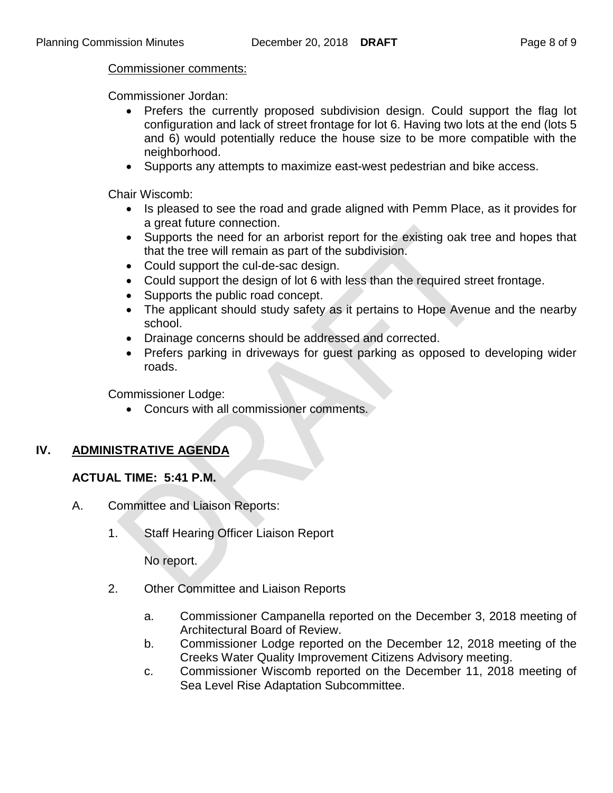#### Commissioner comments:

Commissioner Jordan:

- Prefers the currently proposed subdivision design. Could support the flag lot configuration and lack of street frontage for lot 6. Having two lots at the end (lots 5 and 6) would potentially reduce the house size to be more compatible with the neighborhood.
- Supports any attempts to maximize east-west pedestrian and bike access.

Chair Wiscomb:

- Is pleased to see the road and grade aligned with Pemm Place, as it provides for a great future connection.
- Supports the need for an arborist report for the existing oak tree and hopes that that the tree will remain as part of the subdivision.
- Could support the cul-de-sac design.
- Could support the design of lot 6 with less than the required street frontage.
- Supports the public road concept.
- The applicant should study safety as it pertains to Hope Avenue and the nearby school.
- Drainage concerns should be addressed and corrected.
- Prefers parking in driveways for quest parking as opposed to developing wider roads.

Commissioner Lodge:

Concurs with all commissioner comments.

# **IV. ADMINISTRATIVE AGENDA**

### **ACTUAL TIME: 5:41 P.M.**

- A. Committee and Liaison Reports:
	- 1. Staff Hearing Officer Liaison Report

No report.

- 2. Other Committee and Liaison Reports
	- a. Commissioner Campanella reported on the December 3, 2018 meeting of Architectural Board of Review.
	- b. Commissioner Lodge reported on the December 12, 2018 meeting of the Creeks Water Quality Improvement Citizens Advisory meeting.
	- c. Commissioner Wiscomb reported on the December 11, 2018 meeting of Sea Level Rise Adaptation Subcommittee.